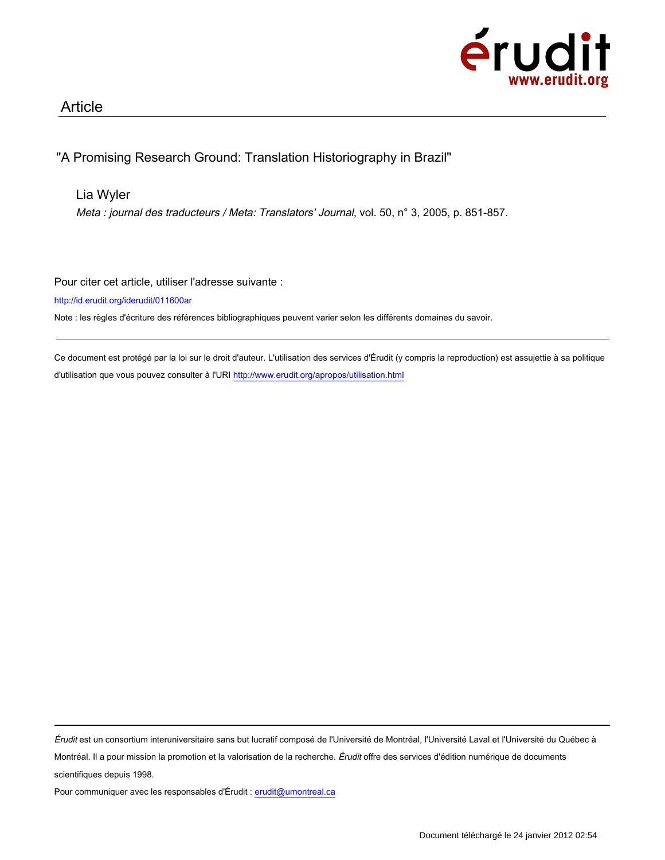

## Article

# "A Promising Research Ground: Translation Historiography in Brazil"

## Lia Wyler

Meta : journal des traducteurs / Meta: Translators' Journal, vol. 50, n° 3, 2005, p. 851-857.

Pour citer cet article, utiliser l'adresse suivante :

http://id.erudit.org/iderudit/011600ar

Note : les règles d'écriture des références bibliographiques peuvent varier selon les différents domaines du savoir.

Ce document est protégé par la loi sur le droit d'auteur. L'utilisation des services d'Érudit (y compris la reproduction) est assujettie à sa politique d'utilisation que vous pouvez consulter à l'URI http://www.erudit.org/apropos/utilisation.html

Érudit est un consortium interuniversitaire sans but lucratif composé de l'Université de Montréal, l'Université Laval et l'Université du Québec à Montréal. Il a pour mission la promotion et la valorisation de la recherche. Érudit offre des services d'édition numérique de documents scientifiques depuis 1998.

Pour communiquer avec les responsables d'Érudit : erudit@umontreal.ca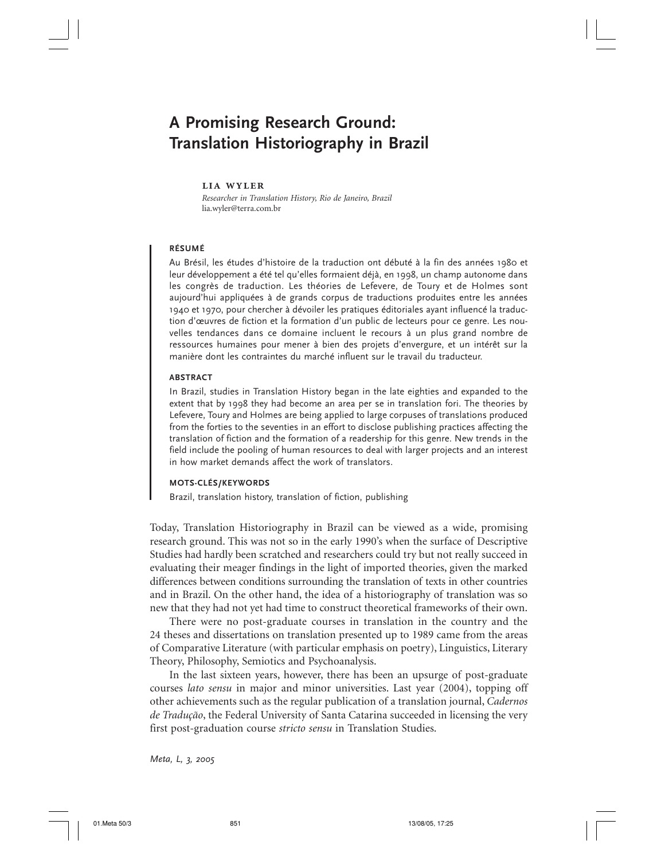# **A Promising Research Ground: Translation Historiography in Brazil**

#### **lia wyler**

*Researcher in Translation History, Rio de Janeiro, Brazil* lia.wyler@terra.com.br

### **RÉSUMÉ**

Au Brésil, les études d'histoire de la traduction ont débuté à la fin des années 1980 et leur développement a été tel qu'elles formaient déjà, en 1998, un champ autonome dans les congrès de traduction. Les théories de Lefevere, de Toury et de Holmes sont aujourd'hui appliquées à de grands corpus de traductions produites entre les années 1940 et 1970, pour chercher à dévoiler les pratiques éditoriales ayant influencé la traduction d'œuvres de fiction et la formation d'un public de lecteurs pour ce genre. Les nouvelles tendances dans ce domaine incluent le recours à un plus grand nombre de ressources humaines pour mener à bien des projets d'envergure, et un intérêt sur la manière dont les contraintes du marché influent sur le travail du traducteur.

#### **ABSTRACT**

In Brazil, studies in Translation History began in the late eighties and expanded to the extent that by 1998 they had become an area per se in translation fori. The theories by Lefevere, Toury and Holmes are being applied to large corpuses of translations produced from the forties to the seventies in an effort to disclose publishing practices affecting the translation of fiction and the formation of a readership for this genre. New trends in the field include the pooling of human resources to deal with larger projects and an interest in how market demands affect the work of translators.

## **MOTS-CLÉS/KEYWORDS**

Brazil, translation history, translation of fiction, publishing

Today, Translation Historiography in Brazil can be viewed as a wide, promising research ground. This was not so in the early 1990's when the surface of Descriptive Studies had hardly been scratched and researchers could try but not really succeed in evaluating their meager findings in the light of imported theories, given the marked differences between conditions surrounding the translation of texts in other countries and in Brazil. On the other hand, the idea of a historiography of translation was so new that they had not yet had time to construct theoretical frameworks of their own.

There were no post-graduate courses in translation in the country and the 24 theses and dissertations on translation presented up to 1989 came from the areas of Comparative Literature (with particular emphasis on poetry), Linguistics, Literary Theory, Philosophy, Semiotics and Psychoanalysis.

In the last sixteen years, however, there has been an upsurge of post-graduate courses *lato sensu* in major and minor universities. Last year (2004), topping off other achievements such as the regular publication of a translation journal, *Cadernos de Tradução*, the Federal University of Santa Catarina succeeded in licensing the very first post-graduation course *stricto sensu* in Translation Studies.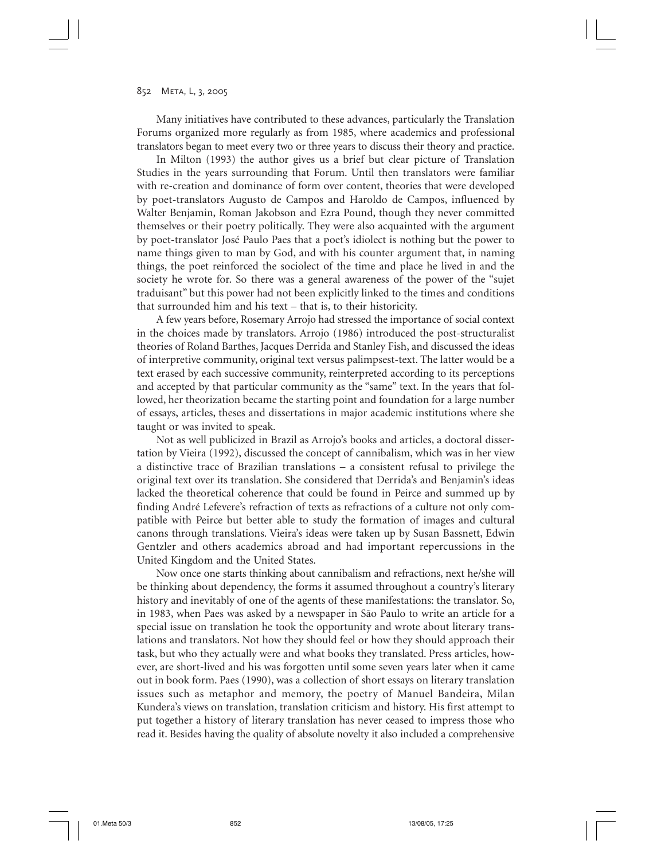Many initiatives have contributed to these advances, particularly the Translation Forums organized more regularly as from 1985, where academics and professional translators began to meet every two or three years to discuss their theory and practice.

In Milton (1993) the author gives us a brief but clear picture of Translation Studies in the years surrounding that Forum. Until then translators were familiar with re-creation and dominance of form over content, theories that were developed by poet-translators Augusto de Campos and Haroldo de Campos, influenced by Walter Benjamin, Roman Jakobson and Ezra Pound, though they never committed themselves or their poetry politically. They were also acquainted with the argument by poet-translator José Paulo Paes that a poet's idiolect is nothing but the power to name things given to man by God, and with his counter argument that, in naming things, the poet reinforced the sociolect of the time and place he lived in and the society he wrote for. So there was a general awareness of the power of the "sujet" traduisant" but this power had not been explicitly linked to the times and conditions that surrounded him and his text – that is, to their historicity.

A few years before, Rosemary Arrojo had stressed the importance of social context in the choices made by translators. Arrojo (1986) introduced the post-structuralist theories of Roland Barthes, Jacques Derrida and Stanley Fish, and discussed the ideas of interpretive community, original text versus palimpsest-text. The latter would be a text erased by each successive community, reinterpreted according to its perceptions and accepted by that particular community as the "same" text. In the years that followed, her theorization became the starting point and foundation for a large number of essays, articles, theses and dissertations in major academic institutions where she taught or was invited to speak.

Not as well publicized in Brazil as Arrojo's books and articles, a doctoral dissertation by Vieira (1992), discussed the concept of cannibalism, which was in her view a distinctive trace of Brazilian translations – a consistent refusal to privilege the original text over its translation. She considered that Derrida's and Benjamin's ideas lacked the theoretical coherence that could be found in Peirce and summed up by finding André Lefevere's refraction of texts as refractions of a culture not only compatible with Peirce but better able to study the formation of images and cultural canons through translations. Vieira's ideas were taken up by Susan Bassnett, Edwin Gentzler and others academics abroad and had important repercussions in the United Kingdom and the United States.

Now once one starts thinking about cannibalism and refractions, next he/she will be thinking about dependency, the forms it assumed throughout a country's literary history and inevitably of one of the agents of these manifestations: the translator. So, in 1983, when Paes was asked by a newspaper in São Paulo to write an article for a special issue on translation he took the opportunity and wrote about literary translations and translators. Not how they should feel or how they should approach their task, but who they actually were and what books they translated. Press articles, however, are short-lived and his was forgotten until some seven years later when it came out in book form. Paes (1990), was a collection of short essays on literary translation issues such as metaphor and memory, the poetry of Manuel Bandeira, Milan Kundera's views on translation, translation criticism and history. His first attempt to put together a history of literary translation has never ceased to impress those who read it. Besides having the quality of absolute novelty it also included a comprehensive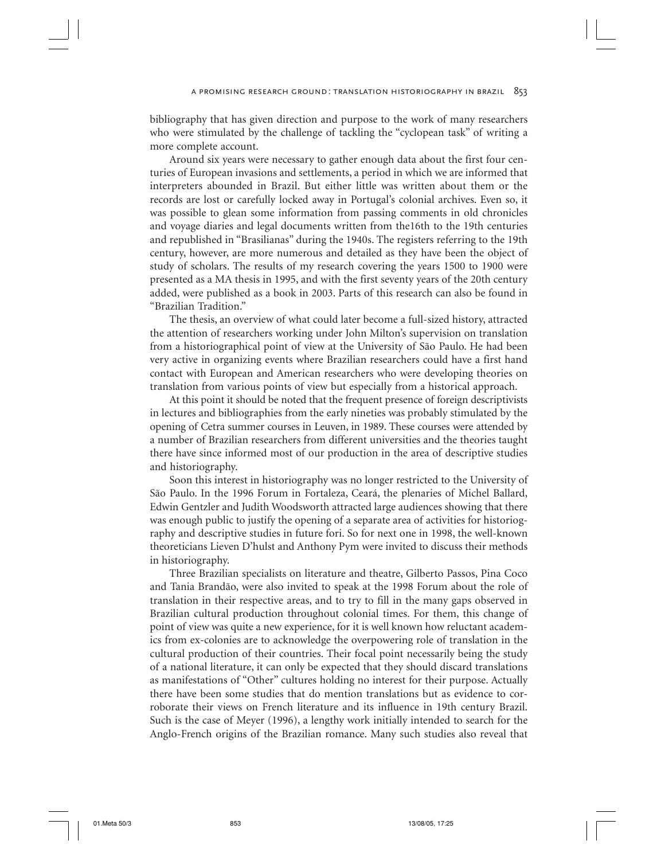bibliography that has given direction and purpose to the work of many researchers who were stimulated by the challenge of tackling the "cyclopean task" of writing a more complete account.

Around six years were necessary to gather enough data about the first four centuries of European invasions and settlements, a period in which we are informed that interpreters abounded in Brazil. But either little was written about them or the records are lost or carefully locked away in Portugal's colonial archives. Even so, it was possible to glean some information from passing comments in old chronicles and voyage diaries and legal documents written from the16th to the 19th centuries and republished in "Brasilianas" during the 1940s. The registers referring to the 19th century, however, are more numerous and detailed as they have been the object of study of scholars. The results of my research covering the years 1500 to 1900 were presented as a MA thesis in 1995, and with the first seventy years of the 20th century added, were published as a book in 2003. Parts of this research can also be found in "Brazilian Tradition."

The thesis, an overview of what could later become a full-sized history, attracted the attention of researchers working under John Milton's supervision on translation from a historiographical point of view at the University of São Paulo. He had been very active in organizing events where Brazilian researchers could have a first hand contact with European and American researchers who were developing theories on translation from various points of view but especially from a historical approach.

At this point it should be noted that the frequent presence of foreign descriptivists in lectures and bibliographies from the early nineties was probably stimulated by the opening of Cetra summer courses in Leuven, in 1989. These courses were attended by a number of Brazilian researchers from different universities and the theories taught there have since informed most of our production in the area of descriptive studies and historiography.

Soon this interest in historiography was no longer restricted to the University of São Paulo. In the 1996 Forum in Fortaleza, Ceará, the plenaries of Michel Ballard, Edwin Gentzler and Judith Woodsworth attracted large audiences showing that there was enough public to justify the opening of a separate area of activities for historiography and descriptive studies in future fori. So for next one in 1998, the well-known theoreticians Lieven D'hulst and Anthony Pym were invited to discuss their methods in historiography.

Three Brazilian specialists on literature and theatre, Gilberto Passos, Pina Coco and Tania Brandão, were also invited to speak at the 1998 Forum about the role of translation in their respective areas, and to try to fill in the many gaps observed in Brazilian cultural production throughout colonial times. For them, this change of point of view was quite a new experience, for it is well known how reluctant academics from ex-colonies are to acknowledge the overpowering role of translation in the cultural production of their countries. Their focal point necessarily being the study of a national literature, it can only be expected that they should discard translations as manifestations of "Other" cultures holding no interest for their purpose. Actually there have been some studies that do mention translations but as evidence to corroborate their views on French literature and its influence in 19th century Brazil. Such is the case of Meyer (1996), a lengthy work initially intended to search for the Anglo-French origins of the Brazilian romance. Many such studies also reveal that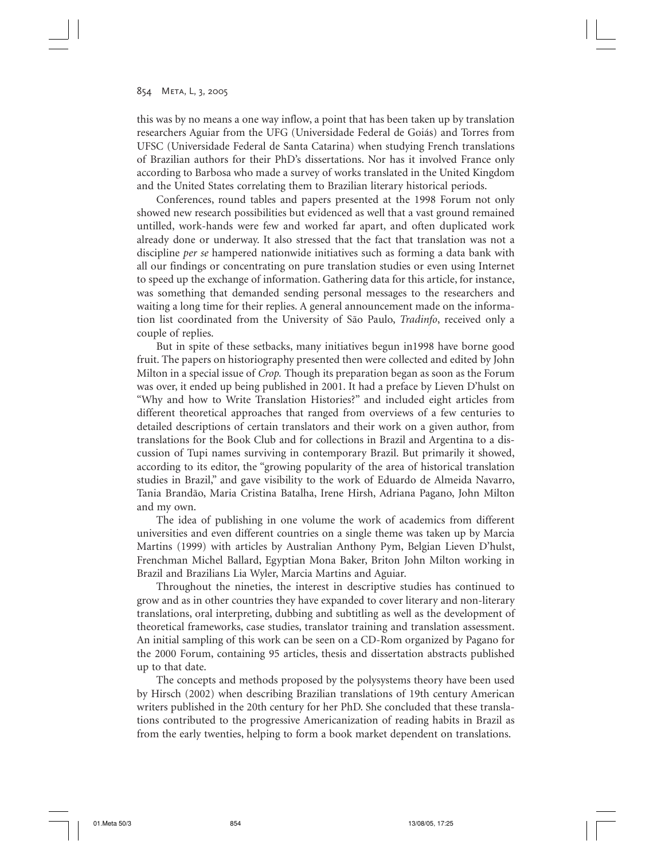this was by no means a one way inflow, a point that has been taken up by translation researchers Aguiar from the UFG (Universidade Federal de Goiás) and Torres from UFSC (Universidade Federal de Santa Catarina) when studying French translations of Brazilian authors for their PhD's dissertations. Nor has it involved France only according to Barbosa who made a survey of works translated in the United Kingdom and the United States correlating them to Brazilian literary historical periods.

Conferences, round tables and papers presented at the 1998 Forum not only showed new research possibilities but evidenced as well that a vast ground remained untilled, work-hands were few and worked far apart, and often duplicated work already done or underway. It also stressed that the fact that translation was not a discipline *per se* hampered nationwide initiatives such as forming a data bank with all our findings or concentrating on pure translation studies or even using Internet to speed up the exchange of information. Gathering data for this article, for instance, was something that demanded sending personal messages to the researchers and waiting a long time for their replies. A general announcement made on the information list coordinated from the University of São Paulo, *Tradinfo*, received only a couple of replies.

But in spite of these setbacks, many initiatives begun in1998 have borne good fruit. The papers on historiography presented then were collected and edited by John Milton in a special issue of *Crop.* Though its preparation began as soon as the Forum was over, it ended up being published in 2001. It had a preface by Lieven D'hulst on "Why and how to Write Translation Histories?" and included eight articles from different theoretical approaches that ranged from overviews of a few centuries to detailed descriptions of certain translators and their work on a given author, from translations for the Book Club and for collections in Brazil and Argentina to a discussion of Tupi names surviving in contemporary Brazil. But primarily it showed, according to its editor, the "growing popularity of the area of historical translation studies in Brazil," and gave visibility to the work of Eduardo de Almeida Navarro, Tania Brandão, Maria Cristina Batalha, Irene Hirsh, Adriana Pagano, John Milton and my own.

The idea of publishing in one volume the work of academics from different universities and even different countries on a single theme was taken up by Marcia Martins (1999) with articles by Australian Anthony Pym, Belgian Lieven D'hulst, Frenchman Michel Ballard, Egyptian Mona Baker, Briton John Milton working in Brazil and Brazilians Lia Wyler, Marcia Martins and Aguiar.

Throughout the nineties, the interest in descriptive studies has continued to grow and as in other countries they have expanded to cover literary and non-literary translations, oral interpreting, dubbing and subtitling as well as the development of theoretical frameworks, case studies, translator training and translation assessment. An initial sampling of this work can be seen on a CD-Rom organized by Pagano for the 2000 Forum, containing 95 articles, thesis and dissertation abstracts published up to that date.

The concepts and methods proposed by the polysystems theory have been used by Hirsch (2002) when describing Brazilian translations of 19th century American writers published in the 20th century for her PhD. She concluded that these translations contributed to the progressive Americanization of reading habits in Brazil as from the early twenties, helping to form a book market dependent on translations.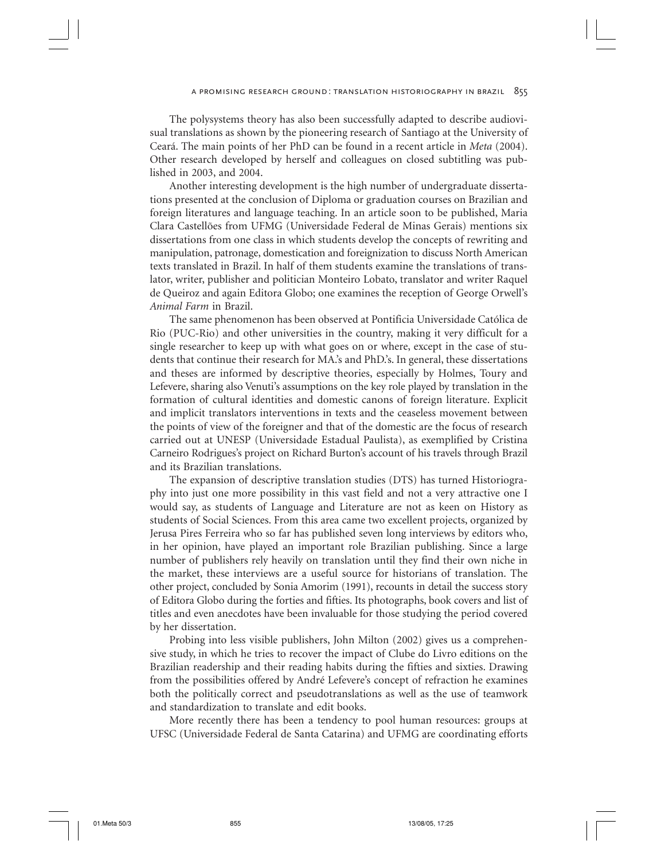The polysystems theory has also been successfully adapted to describe audiovisual translations as shown by the pioneering research of Santiago at the University of Ceará. The main points of her PhD can be found in a recent article in *Meta* (2004). Other research developed by herself and colleagues on closed subtitling was published in 2003, and 2004.

Another interesting development is the high number of undergraduate dissertations presented at the conclusion of Diploma or graduation courses on Brazilian and foreign literatures and language teaching. In an article soon to be published, Maria Clara Castellões from UFMG (Universidade Federal de Minas Gerais) mentions six dissertations from one class in which students develop the concepts of rewriting and manipulation, patronage, domestication and foreignization to discuss North American texts translated in Brazil. In half of them students examine the translations of translator, writer, publisher and politician Monteiro Lobato, translator and writer Raquel de Queiroz and again Editora Globo; one examines the reception of George Orwell's *Animal Farm* in Brazil.

The same phenomenon has been observed at Pontificia Universidade Católica de Rio (PUC-Rio) and other universities in the country, making it very difficult for a single researcher to keep up with what goes on or where, except in the case of students that continue their research for MA.'s and PhD.'s. In general, these dissertations and theses are informed by descriptive theories, especially by Holmes, Toury and Lefevere, sharing also Venuti's assumptions on the key role played by translation in the formation of cultural identities and domestic canons of foreign literature. Explicit and implicit translators interventions in texts and the ceaseless movement between the points of view of the foreigner and that of the domestic are the focus of research carried out at UNESP (Universidade Estadual Paulista), as exemplified by Cristina Carneiro Rodrigues's project on Richard Burton's account of his travels through Brazil and its Brazilian translations.

The expansion of descriptive translation studies (DTS) has turned Historiography into just one more possibility in this vast field and not a very attractive one I would say, as students of Language and Literature are not as keen on History as students of Social Sciences. From this area came two excellent projects, organized by Jerusa Pires Ferreira who so far has published seven long interviews by editors who, in her opinion, have played an important role Brazilian publishing. Since a large number of publishers rely heavily on translation until they find their own niche in the market, these interviews are a useful source for historians of translation. The other project, concluded by Sonia Amorim (1991), recounts in detail the success story of Editora Globo during the forties and fifties. Its photographs, book covers and list of titles and even anecdotes have been invaluable for those studying the period covered by her dissertation.

Probing into less visible publishers, John Milton (2002) gives us a comprehensive study, in which he tries to recover the impact of Clube do Livro editions on the Brazilian readership and their reading habits during the fifties and sixties. Drawing from the possibilities offered by André Lefevere's concept of refraction he examines both the politically correct and pseudotranslations as well as the use of teamwork and standardization to translate and edit books.

More recently there has been a tendency to pool human resources: groups at UFSC (Universidade Federal de Santa Catarina) and UFMG are coordinating efforts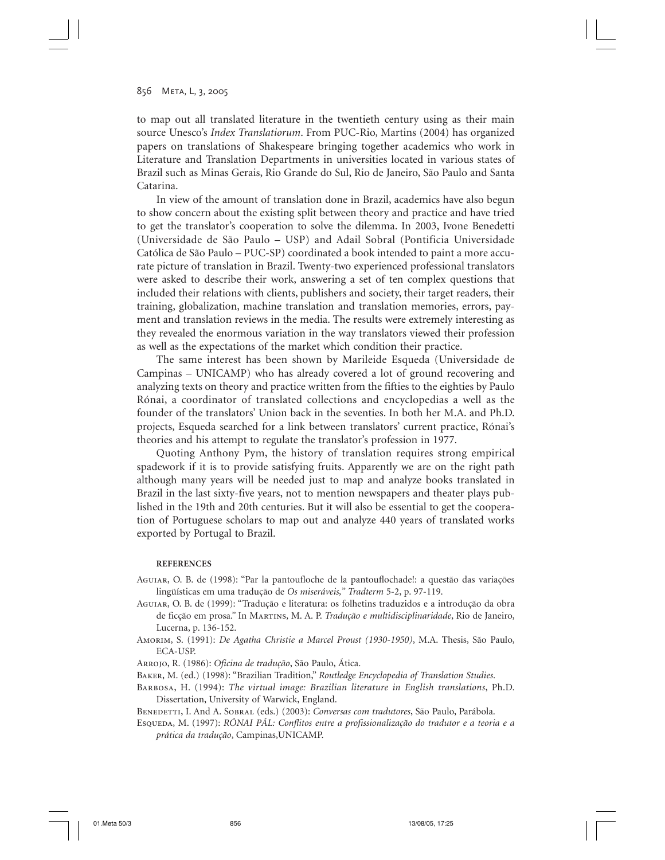to map out all translated literature in the twentieth century using as their main source Unesco's *Index Translatiorum*. From PUC-Rio, Martins (2004) has organized papers on translations of Shakespeare bringing together academics who work in Literature and Translation Departments in universities located in various states of Brazil such as Minas Gerais, Rio Grande do Sul, Rio de Janeiro, São Paulo and Santa Catarina.

In view of the amount of translation done in Brazil, academics have also begun to show concern about the existing split between theory and practice and have tried to get the translator's cooperation to solve the dilemma. In 2003, Ivone Benedetti (Universidade de São Paulo – USP) and Adail Sobral (Pontificia Universidade Católica de São Paulo – PUC-SP) coordinated a book intended to paint a more accurate picture of translation in Brazil. Twenty-two experienced professional translators were asked to describe their work, answering a set of ten complex questions that included their relations with clients, publishers and society, their target readers, their training, globalization, machine translation and translation memories, errors, payment and translation reviews in the media. The results were extremely interesting as they revealed the enormous variation in the way translators viewed their profession as well as the expectations of the market which condition their practice.

The same interest has been shown by Marileide Esqueda (Universidade de Campinas – UNICAMP) who has already covered a lot of ground recovering and analyzing texts on theory and practice written from the fifties to the eighties by Paulo Rónai, a coordinator of translated collections and encyclopedias a well as the founder of the translators' Union back in the seventies. In both her M.A. and Ph.D. projects, Esqueda searched for a link between translators' current practice, Rónai's theories and his attempt to regulate the translator's profession in 1977.

Quoting Anthony Pym, the history of translation requires strong empirical spadework if it is to provide satisfying fruits. Apparently we are on the right path although many years will be needed just to map and analyze books translated in Brazil in the last sixty-five years, not to mention newspapers and theater plays published in the 19th and 20th centuries. But it will also be essential to get the cooperation of Portuguese scholars to map out and analyze 440 years of translated works exported by Portugal to Brazil.

#### **REFERENCES**

- Aguiar, O. B. de (1998): "Par la pantoufloche de la pantouflochade!: a questão das variações lingüísticas em uma tradução de *Os miseráveis,*" *Tradterm* 5-2, p. 97-119.
- Aguiar, O. B. de (1999): "Tradução e literatura: os folhetins traduzidos e a introdução da obra de ficção em prosa." In Martins, M. A. P. *Tradução e multidisciplinaridade*, Rio de Janeiro, Lucerna, p. 136-152.
- Amorim, S. (1991): *De Agatha Christie a Marcel Proust (1930-1950)*, M.A. Thesis, São Paulo, ECA-USP.
- Arrojo, R. (1986): *Oficina de tradução*, São Paulo, Ática.
- Baker, M. (ed.) (1998): "Brazilian Tradition," *Routledge Encyclopedia of Translation Studies*.
- Barbosa, H. (1994): *The virtual image: Brazilian literature in English translations*, Ph.D. Dissertation, University of Warwick, England.
- Benedetti, I. And A. Sobral (eds.) (2003): *Conversas com tradutores*, São Paulo, Parábola.
- Esqueda, M. (1997): *RÓNAI PÁL: Conflitos entre a profissionalização do tradutor e a teoria e a prática da tradução*, Campinas,UNICAMP.